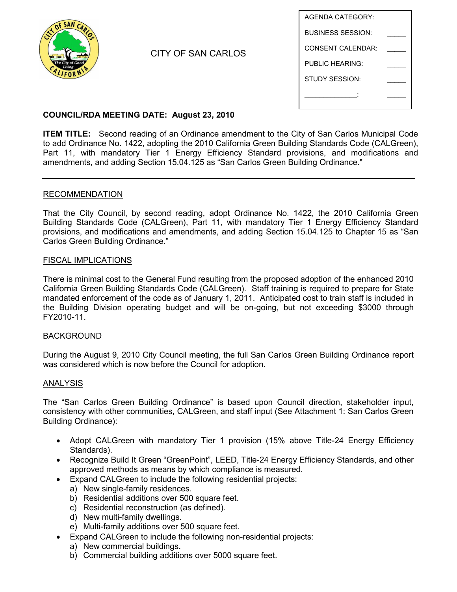

CITY OF SAN CARLOS

| AGENDA CATEGORY:         |  |
|--------------------------|--|
| <b>BUSINESS SESSION:</b> |  |
| CONSENT CAI ENDAR:       |  |
| PUBLIC HEARING:          |  |
| <b>STUDY SESSION:</b>    |  |
|                          |  |
|                          |  |

# **COUNCIL/RDA MEETING DATE: August 23, 2010**

**ITEM TITLE:** Second reading of an Ordinance amendment to the City of San Carlos Municipal Code to add Ordinance No. 1422, adopting the 2010 California Green Building Standards Code (CALGreen), Part 11, with mandatory Tier 1 Energy Efficiency Standard provisions, and modifications and amendments, and adding Section 15.04.125 as "San Carlos Green Building Ordinance."

## RECOMMENDATION

That the City Council, by second reading, adopt Ordinance No. 1422, the 2010 California Green Building Standards Code (CALGreen), Part 11, with mandatory Tier 1 Energy Efficiency Standard provisions, and modifications and amendments, and adding Section 15.04.125 to Chapter 15 as "San Carlos Green Building Ordinance."

## FISCAL IMPLICATIONS

There is minimal cost to the General Fund resulting from the proposed adoption of the enhanced 2010 California Green Building Standards Code (CALGreen). Staff training is required to prepare for State mandated enforcement of the code as of January 1, 2011. Anticipated cost to train staff is included in the Building Division operating budget and will be on-going, but not exceeding \$3000 through FY2010-11.

#### BACKGROUND

During the August 9, 2010 City Council meeting, the full San Carlos Green Building Ordinance report was considered which is now before the Council for adoption.

#### ANALYSIS

The "San Carlos Green Building Ordinance" is based upon Council direction, stakeholder input, consistency with other communities, CALGreen, and staff input (See Attachment 1: San Carlos Green Building Ordinance):

- Adopt CALGreen with mandatory Tier 1 provision (15% above Title-24 Energy Efficiency Standards).
- Recognize Build It Green "GreenPoint", LEED, Title-24 Energy Efficiency Standards, and other approved methods as means by which compliance is measured.
- Expand CALGreen to include the following residential projects:
	- a) New single-family residences.
	- b) Residential additions over 500 square feet.
	- c) Residential reconstruction (as defined).
	- d) New multi-family dwellings.
	- e) Multi-family additions over 500 square feet.
- Expand CALGreen to include the following non-residential projects:
	- a) New commercial buildings.
	- b) Commercial building additions over 5000 square feet.